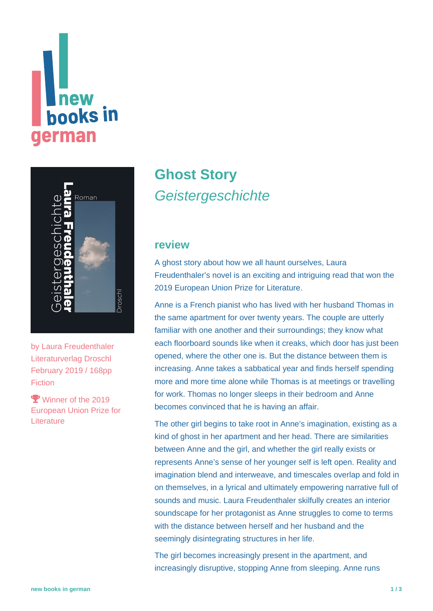# **Thew<br>books in german**



by [Laura Freudenthaler](https://www.new-books-in-german.com/recommendations/?searchInput=Laura%20Freudenthaler) Literaturverlag Droschl February 2019 / 168pp **Fiction** 

**Y** Winner of the 2019 European Union Prize for **Literature** 

## **[Ghost Story](https://www.new-books-in-german.com/recommendations/ghost-story/) Geistergeschichte**

#### **review**

A ghost story about how we all haunt ourselves, Laura Freudenthaler's novel is an exciting and intriguing read that won the 2019 European Union Prize for Literature.

Anne is a French pianist who has lived with her husband Thomas in the same apartment for over twenty years. The couple are utterly familiar with one another and their surroundings; they know what each floorboard sounds like when it creaks, which door has just been opened, where the other one is. But the distance between them is increasing. Anne takes a sabbatical year and finds herself spending more and more time alone while Thomas is at meetings or travelling for work. Thomas no longer sleeps in their bedroom and Anne becomes convinced that he is having an affair.

The other girl begins to take root in Anne's imagination, existing as a kind of ghost in her apartment and her head. There are similarities between Anne and the girl, and whether the girl really exists or represents Anne's sense of her younger self is left open. Reality and imagination blend and interweave, and timescales overlap and fold in on themselves, in a lyrical and ultimately empowering narrative full of sounds and music. Laura Freudenthaler skilfully creates an interior soundscape for her protagonist as Anne struggles to come to terms with the distance between herself and her husband and the seemingly disintegrating structures in her life.

The girl becomes increasingly present in the apartment, and increasingly disruptive, stopping Anne from sleeping. Anne runs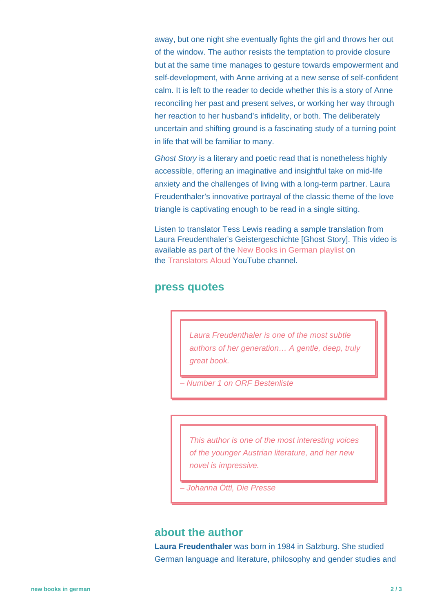away, but one night she eventually fights the girl and throws her out of the window. The author resists the temptation to provide closure but at the same time manages to gesture towards empowerment and self-development, with Anne arriving at a new sense of self-confident calm. It is left to the reader to decide whether this is a story of Anne reconciling her past and present selves, or working her way through her reaction to her husband's infidelity, or both. The deliberately uncertain and shifting ground is a fascinating study of a turning point in life that will be familiar to many.

Ghost Story is a literary and poetic read that is nonetheless highly accessible, offering an imaginative and insightful take on mid-life anxiety and the challenges of living with a long-term partner. Laura Freudenthaler's innovative portrayal of the classic theme of the love triangle is captivating enough to be read in a single sitting.

Listen to translator Tess Lewis reading a sample translation from Laura Freudenthaler's Geistergeschichte [Ghost Story]. This video is available as part of the [New Books in German playlist](https://www.youtube.com/playlist?list=PLb79xn1QTw3y-uP2es2qBbOQQbhOkcbEx) on the [Translators Aloud](https://www.youtube.com/c/TranslatorsAloud) YouTube channel.

#### **press quotes**

Laura Freudenthaler is one of the most subtle authors of her generation… A gentle, deep, truly great book.

– Number 1 on ORF Bestenliste

This author is one of the most interesting voices of the younger Austrian literature, and her new novel is impressive.

– Johanna Öttl, Die Presse

#### **about the author**

**Laura Freudenthaler** was born in 1984 in Salzburg. She studied German language and literature, philosophy and gender studies and